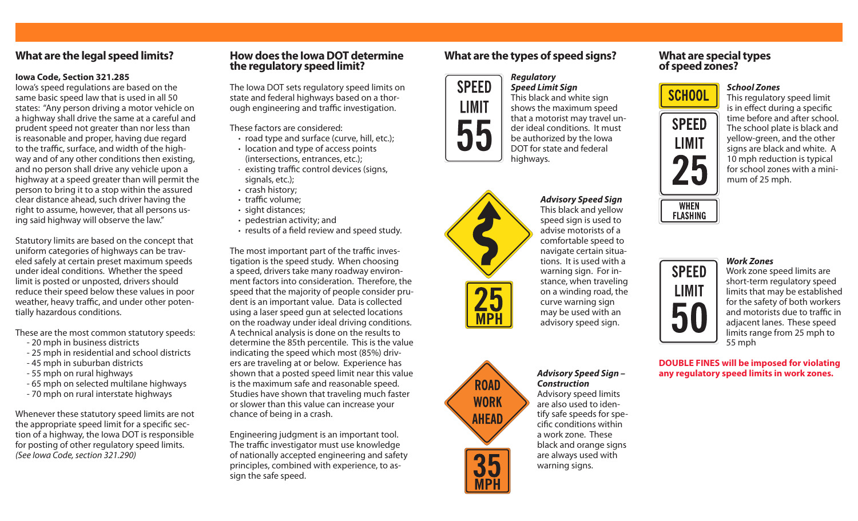# **What are the legal speed limits?**

#### **Iowa Code, Section 321.285**

Iowa's speed regulations are based on the same basic speed law that is used in all 50 states: "Any person driving a motor vehicle on a highway shall drive the same at a careful and prudent speed not greater than nor less than is reasonable and proper, having due regard to the traffic, surface, and width of the highway and of any other conditions then existing, and no person shall drive any vehicle upon a highway at a speed greater than will permit the person to bring it to a stop within the assured clear distance ahead, such driver having the right to assume, however, that all persons using said highway will observe the law."

Statutory limits are based on the concept that uniform categories of highways can be traveled safely at certain preset maximum speeds under ideal conditions. Whether the speed limit is posted or unposted, drivers should reduce their speed below these values in poor weather, heavy traffic, and under other potentially hazardous conditions.

These are the most common statutory speeds:

- 20 mph in business districts
- 25 mph in residential and school districts
- 45 mph in suburban districts
- 55 mph on rural highways
- 65 mph on selected multilane highways
- 70 mph on rural interstate highways

Whenever these statutory speed limits are not the appropriate speed limit for a specific section of a highway, the Iowa DOT is responsible for posting of other regulatory speed limits. *(See Iowa Code, section 321.290)*

### **How does the Iowa DOT determine the regulatory speed limit?**

The Iowa DOT sets regulatory speed limits on state and federal highways based on a thorough engineering and traffic investigation.

These factors are considered:

- **·** road type and surface (curve, hill, etc.);
- **·** location and type of access points (intersections, entrances, etc.);
- · existing traffic control devices (signs, signals, etc.);
- **·** crash history;
- **·** traffic volume;
- **·** sight distances;
- **·** pedestrian activity; and
- **·** results of a field review and speed study.

The most important part of the traffic investigation is the speed study. When choosing a speed, drivers take many roadway environment factors into consideration. Therefore, the speed that the majority of people consider prudent is an important value. Data is collected using a laser speed gun at selected locations on the roadway under ideal driving conditions. A technical analysis is done on the results to determine the 85th percentile. This is the value indicating the speed which most (85%) drivers are traveling at or below. Experience has shown that a posted speed limit near this value is the maximum safe and reasonable speed. Studies have shown that traveling much faster or slower than this value can increase your chance of being in a crash.

Engineering judgment is an important tool. The traffic investigator must use knowledge of nationally accepted engineering and safety principles, combined with experience, to assign the safe speed.

# **What are the types of speed signs?**

*Regulatory* 



*Speed Limit Sign* This black and white sign shows the maximum speed that a motorist may travel under ideal conditions. It must be authorized by the Iowa DOT for state and federal highways.



*Advisory Speed Sign* This black and yellow speed sign is used to advise motorists of a comfortable speed to navigate certain situations. It is used with a warning sign. For instance, when traveling on a winding road, the curve warning sign may be used with an advisory speed sign.



*Advisory Speed Sign – Construction* Advisory speed limits are also used to identify safe speeds for specific conditions within a work zone. These black and orange signs are always used with warning signs.

## **What are special types of speed zones?**



This regulatory speed limit is in effect during a specific time before and after school. The school plate is black and yellow-green, and the other signs are black and white. A 10 mph reduction is typical for school zones with a minimum of 25 mph.





# *Work Zones*

*School Zones*

Work zone speed limits are short-term regulatory speed limits that may be established for the safety of both workers and motorists due to traffic in adjacent lanes. These speed limits range from 25 mph to 55 mph

**DOUBLE FINES will be imposed for violating any regulatory speed limits in work zones.**